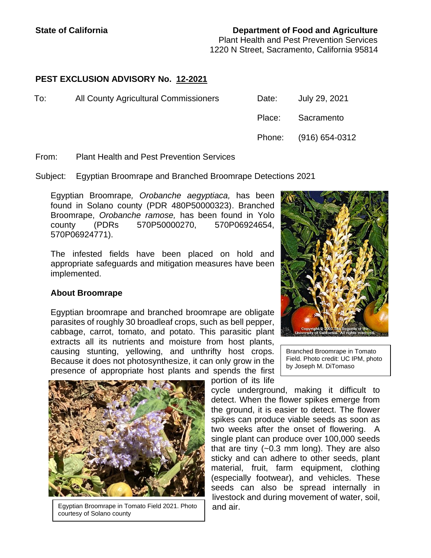### **State of California Department of Food and Agriculture**

Plant Health and Pest Prevention Services 1220 N Street, Sacramento, California 95814

# **PEST EXCLUSION ADVISORY No. 12-2021**

| To: | All County Agricultural Commissioners | Date:  | July 29, 2021         |
|-----|---------------------------------------|--------|-----------------------|
|     |                                       | Place: | Sacramento            |
|     |                                       |        | Phone: (916) 654-0312 |

From: Plant Health and Pest Prevention Services

Subject: Egyptian Broomrape and Branched Broomrape Detections 2021

Egyptian Broomrape*, Orobanche aegyptiaca,* has been found in Solano county (PDR 480P50000323). Branched Broomrape, *Orobanche ramose,* has been found in Yolo county (PDRs 570P50000270, 570P06924654, 570P06924771).

The infested fields have been placed on hold and appropriate safeguards and mitigation measures have been implemented.

## **About Broomrape**

Egyptian broomrape and branched broomrape are obligate parasites of roughly 30 broadleaf crops, such as bell pepper, cabbage, carrot, tomato, and potato. This parasitic plant extracts all its nutrients and moisture from host plants, causing stunting, yellowing, and unthrifty host crops. Because it does not photosynthesize, it can only grow in the presence of appropriate host plants and spends the first



Egyptian Broomrape in Tomato Field 2021. Photo courtesy of Solano county

|  | Copyright © 2007 The Regents of the<br>University of California. All rights reserved. |  |
|--|---------------------------------------------------------------------------------------|--|

Branched Broomrape in Tomato Field. Photo credit: UC IPM, photo by Joseph M. DiTomaso

cycle underground, making it difficult to detect. When the flower spikes emerge from the ground, it is easier to detect. The flower spikes can produce viable seeds as soon as two weeks after the onset of flowering. A single plant can produce over 100,000 seeds that are tiny (~0.3 mm long). They are also sticky and can adhere to other seeds, plant material, fruit, farm equipment, clothing (especially footwear), and vehicles. These seeds can also be spread internally in livestock and during movement of water, soil, and air.

portion of its life